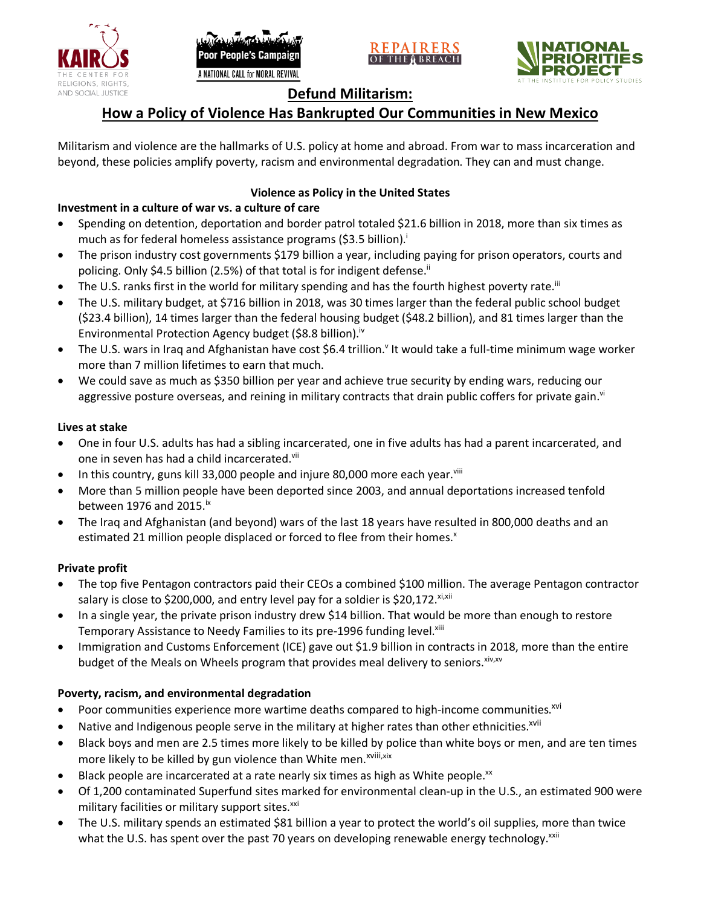





# **Defund Militarism:**

# **How a Policy of Violence Has Bankrupted Our Communities in New Mexico**

Militarism and violence are the hallmarks of U.S. policy at home and abroad. From war to mass incarceration and beyond, these policies amplify poverty, racism and environmental degradation. They can and must change.

# **Violence as Policy in the United States**

### **Investment in a culture of war vs. a culture of care**

- Spending on detention, deportation and border patrol totaled \$21.6 billion in 2018, more than six times as much as for federal homeless assistance programs (\$3.5 billion).<sup>i</sup>
- The prison industry cost governments \$179 billion a year, including paying for prison operators, courts and policing. Only \$4.5 billion (2.5%) of that total is for indigent defense.<sup>ii</sup>
- The U.S. ranks first in the world for military spending and has the fourth highest poverty rate.<sup>iii</sup>
- The U.S. military budget, at \$716 billion in 2018, was 30 times larger than the federal public school budget (\$23.4 billion), 14 times larger than the federal housing budget (\$48.2 billion), and 81 times larger than the Environmental Protection Agency budget (\$8.8 billion).<sup>iv</sup>
- The U.S. wars in Iraq and Afghanistan have cost \$6.4 trillion.<sup>v</sup> It would take a full-time minimum wage worker more than 7 million lifetimes to earn that much.
- We could save as much as \$350 billion per year and achieve true security by ending wars, reducing our aggressive posture overseas, and reining in military contracts that drain public coffers for private gain.<sup>vi</sup>

### **Lives at stake**

- One in four U.S. adults has had a sibling incarcerated, one in five adults has had a parent incarcerated, and one in seven has had a child incarcerated.vii
- In this country, guns kill 33,000 people and injure 80,000 more each year. $v_{\text{lin}}$
- More than 5 million people have been deported since 2003, and annual deportations increased tenfold between 1976 and 2015. $\mathrm{i}$ <sup>x</sup>
- The Iraq and Afghanistan (and beyond) wars of the last 18 years have resulted in 800,000 deaths and an estimated 21 million people displaced or forced to flee from their homes.<sup>x</sup>

#### **Private profit**

- The top five Pentagon contractors paid their CEOs a combined \$100 million. The average Pentagon contractor salary is close to \$200,000, and entry level pay for a soldier is \$20,172. xi,xii
- In a single year, the private prison industry drew \$14 billion. That would be more than enough to restore Temporary Assistance to Needy Families to its pre-1996 funding level.<sup>xiii</sup>
- Immigration and Customs Enforcement (ICE) gave out \$1.9 billion in contracts in 2018, more than the entire budget of the Meals on Wheels program that provides meal delivery to seniors. Xiv, XV

# **Poverty, racism, and environmental degradation**

- Poor communities experience more wartime deaths compared to high-income communities.<sup>xvi</sup>
- Native and Indigenous people serve in the military at higher rates than other ethnicities.<sup>xvii</sup>
- Black boys and men are 2.5 times more likely to be killed by police than white boys or men, and are ten times more likely to be killed by gun violence than White men.<sup>xviii,xix</sup>
- Black people are incarcerated at a rate nearly six times as high as White people.<sup>xx</sup>
- Of 1,200 contaminated Superfund sites marked for environmental clean-up in the U.S., an estimated 900 were military facilities or military support sites.<sup>xxi</sup>
- The U.S. military spends an estimated \$81 billion a year to protect the world's oil supplies, more than twice what the U.S. has spent over the past 70 years on developing renewable energy technology.<sup>xxii</sup>